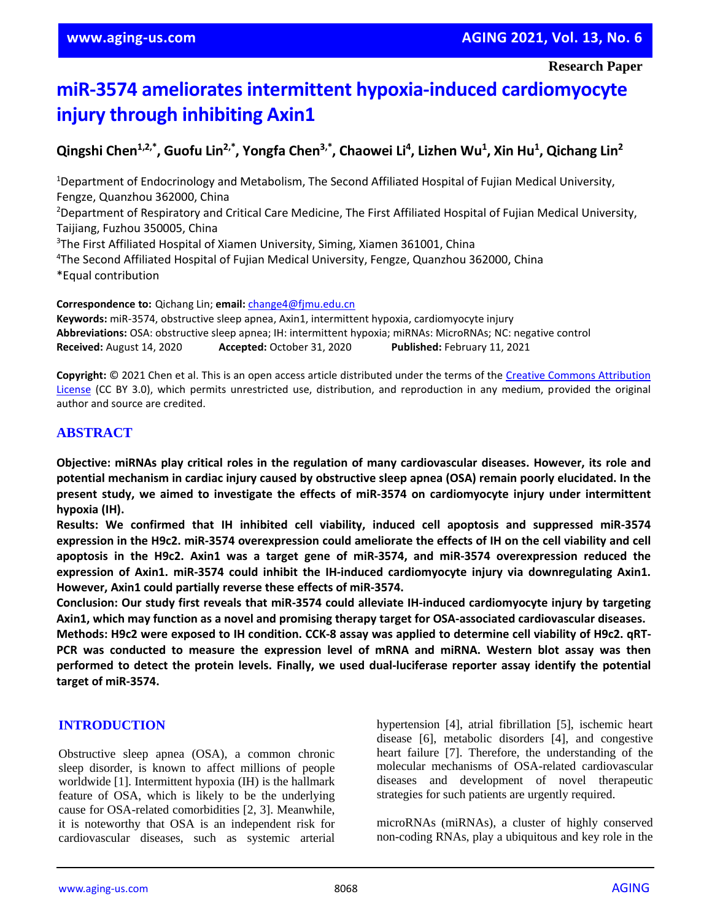# **miR-3574 ameliorates intermittent hypoxia-induced cardiomyocyte injury through inhibiting Axin1**

## **Qingshi Chen1,2,\* , Guofu Lin2,\* , Yongfa Chen3,\* , Chaowei Li<sup>4</sup> , Lizhen Wu<sup>1</sup> , Xin Hu<sup>1</sup> , Qichang Lin<sup>2</sup>**

<sup>1</sup>Department of Endocrinology and Metabolism, The Second Affiliated Hospital of Fujian Medical University, Fengze, Quanzhou 362000, China

<sup>2</sup>Department of Respiratory and Critical Care Medicine, The First Affiliated Hospital of Fujian Medical University, Taijiang, Fuzhou 350005, China

<sup>3</sup>The First Affiliated Hospital of Xiamen University, Siming, Xiamen 361001, China

<sup>4</sup>The Second Affiliated Hospital of Fujian Medical University, Fengze, Quanzhou 362000, China \*Equal contribution

**Correspondence to:** Qichang Lin; **email:** [change4@fjmu.edu.cn](mailto:change4@fjmu.edu.cn)

**Keywords:** miR-3574, obstructive sleep apnea, Axin1, intermittent hypoxia, cardiomyocyte injury **Abbreviations:** OSA: obstructive sleep apnea; IH: intermittent hypoxia; miRNAs: MicroRNAs; NC: negative control **Received:** August 14, 2020 **Accepted:** October 31, 2020 **Published:** February 11, 2021

**Copyright:** © 2021 Chen et al. This is an open access article distributed under the terms of the [Creative Commons Attribution](https://creativecommons.org/licenses/by/3.0/)  [License](https://creativecommons.org/licenses/by/3.0/) (CC BY 3.0), which permits unrestricted use, distribution, and reproduction in any medium, provided the original author and source are credited.

## **ABSTRACT**

**Objective: miRNAs play critical roles in the regulation of many cardiovascular diseases. However, its role and potential mechanism in cardiac injury caused by obstructive sleep apnea (OSA) remain poorly elucidated. In the present study, we aimed to investigate the effects of miR-3574 on cardiomyocyte injury under intermittent hypoxia (IH).**

**Results: We confirmed that IH inhibited cell viability, induced cell apoptosis and suppressed miR-3574** expression in the H9c2. miR-3574 overexpression could ameliorate the effects of IH on the cell viability and cell **apoptosis in the H9c2. Axin1 was a target gene of miR-3574, and miR-3574 overexpression reduced the expression of Axin1. miR-3574 could inhibit the IH-induced cardiomyocyte injury via downregulating Axin1. However, Axin1 could partially reverse these effects of miR-3574.**

**Conclusion: Our study first reveals that miR-3574 could alleviate IH-induced cardiomyocyte injury by targeting Axin1, which may function as a novel and promising therapy target for OSA-associated cardiovascular diseases.**

Methods: H9c2 were exposed to IH condition. CCK-8 assay was applied to determine cell viability of H9c2. qRT-**PCR was conducted to measure the expression level of mRNA and miRNA. Western blot assay was then performed to detect the protein levels. Finally, we used dual-luciferase reporter assay identify the potential target of miR-3574.**

## **INTRODUCTION**

Obstructive sleep apnea (OSA), a common chronic sleep disorder, is known to affect millions of people worldwide [1]. Intermittent hypoxia (IH) is the hallmark feature of OSA, which is likely to be the underlying cause for OSA-related comorbidities [2, 3]. Meanwhile, it is noteworthy that OSA is an independent risk for cardiovascular diseases, such as systemic arterial

hypertension [4], atrial fibrillation [5], ischemic heart disease [6], metabolic disorders [4], and congestive heart failure [7]. Therefore, the understanding of the molecular mechanisms of OSA-related cardiovascular diseases and development of novel therapeutic strategies for such patients are urgently required.

microRNAs (miRNAs), a cluster of highly conserved non-coding RNAs, play a ubiquitous and key role in the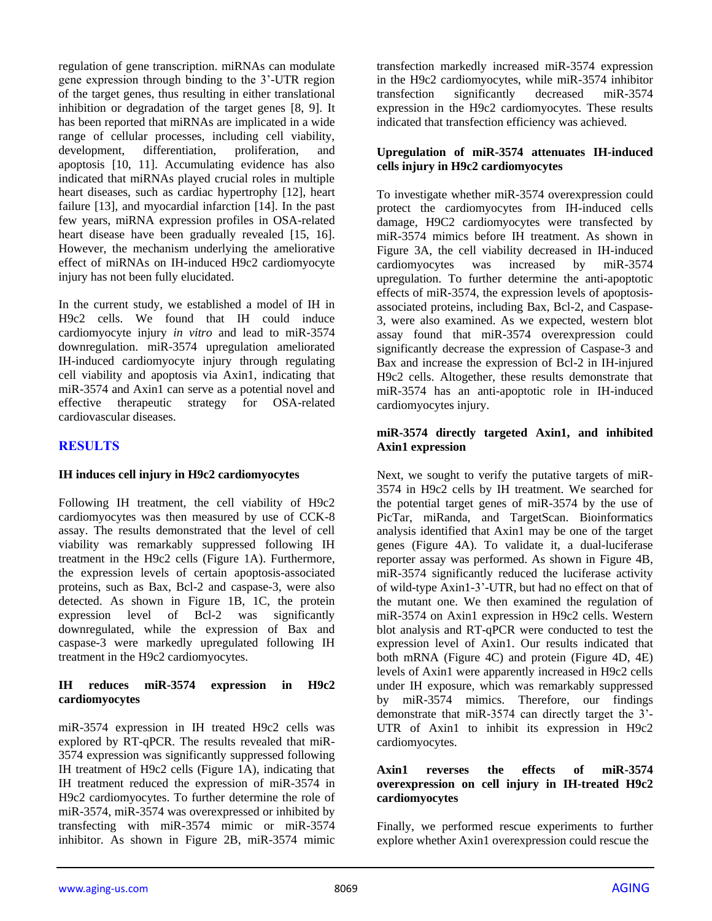regulation of gene transcription. miRNAs can modulate gene expression through binding to the 3'-UTR region of the target genes, thus resulting in either translational inhibition or degradation of the target genes [8, 9]. It has been reported that miRNAs are implicated in a wide range of cellular processes, including cell viability, development, differentiation, proliferation, and apoptosis [10, 11]. Accumulating evidence has also indicated that miRNAs played crucial roles in multiple heart diseases, such as cardiac hypertrophy [12], heart failure [13], and myocardial infarction [14]. In the past few years, miRNA expression profiles in OSA-related heart disease have been gradually revealed [15, 16]. However, the mechanism underlying the ameliorative effect of miRNAs on IH-induced H9c2 cardiomyocyte injury has not been fully elucidated.

In the current study, we established a model of IH in H9c2 cells. We found that IH could induce cardiomyocyte injury *in vitro* and lead to miR-3574 downregulation. miR-3574 upregulation ameliorated IH-induced cardiomyocyte injury through regulating cell viability and apoptosis via Axin1, indicating that miR-3574 and Axin1 can serve as a potential novel and effective therapeutic strategy for OSA-related cardiovascular diseases.

## **RESULTS**

## **IH induces cell injury in H9c2 cardiomyocytes**

Following IH treatment, the cell viability of H9c2 cardiomyocytes was then measured by use of CCK-8 assay. The results demonstrated that the level of cell viability was remarkably suppressed following IH treatment in the H9c2 cells (Figure 1A). Furthermore, the expression levels of certain apoptosis-associated proteins, such as Bax, Bcl-2 and caspase-3, were also detected. As shown in Figure 1B, 1C, the protein expression level of Bcl-2 was significantly downregulated, while the expression of Bax and caspase-3 were markedly upregulated following IH treatment in the H9c2 cardiomyocytes.

## **IH reduces miR-3574 expression in H9c2 cardiomyocytes**

miR-3574 expression in IH treated H9c2 cells was explored by RT-qPCR. The results revealed that miR-3574 expression was significantly suppressed following IH treatment of H9c2 cells (Figure 1A), indicating that IH treatment reduced the expression of miR-3574 in H9c2 cardiomyocytes. To further determine the role of miR-3574, miR-3574 was overexpressed or inhibited by transfecting with miR-3574 mimic or miR-3574 inhibitor. As shown in Figure 2B, miR-3574 mimic

transfection markedly increased miR-3574 expression in the H9c2 cardiomyocytes, while miR-3574 inhibitor transfection significantly decreased miR-3574 expression in the H9c2 cardiomyocytes. These results indicated that transfection efficiency was achieved.

## **Upregulation of miR-3574 attenuates IH-induced cells injury in H9c2 cardiomyocytes**

To investigate whether miR-3574 overexpression could protect the cardiomyocytes from IH-induced cells damage, H9C2 cardiomyocytes were transfected by miR-3574 mimics before IH treatment. As shown in Figure 3A, the cell viability decreased in IH-induced cardiomyocytes was increased by miR-3574 upregulation. To further determine the anti-apoptotic effects of miR-3574, the expression levels of apoptosisassociated proteins, including Bax, Bcl-2, and Caspase-3, were also examined. As we expected, western blot assay found that miR-3574 overexpression could significantly decrease the expression of Caspase-3 and Bax and increase the expression of Bcl-2 in IH-injured H9c2 cells. Altogether, these results demonstrate that miR-3574 has an anti-apoptotic role in IH-induced cardiomyocytes injury.

#### **miR-3574 directly targeted Axin1, and inhibited Axin1 expression**

Next, we sought to verify the putative targets of miR-3574 in H9c2 cells by IH treatment. We searched for the potential target genes of miR-3574 by the use of PicTar, miRanda, and TargetScan. Bioinformatics analysis identified that Axin1 may be one of the target genes (Figure 4A). To validate it, a dual-luciferase reporter assay was performed. As shown in Figure 4B, miR-3574 significantly reduced the luciferase activity of wild-type Axin1-3'-UTR, but had no effect on that of the mutant one. We then examined the regulation of miR-3574 on Axin1 expression in H9c2 cells. Western blot analysis and RT-qPCR were conducted to test the expression level of Axin1. Our results indicated that both mRNA (Figure 4C) and protein (Figure 4D, 4E) levels of Axin1 were apparently increased in H9c2 cells under IH exposure, which was remarkably suppressed by miR-3574 mimics. Therefore, our findings demonstrate that miR-3574 can directly target the 3'- UTR of Axin1 to inhibit its expression in H9c2 cardiomyocytes.

#### **Axin1 reverses the effects of miR-3574 overexpression on cell injury in IH-treated H9c2 cardiomyocytes**

Finally, we performed rescue experiments to further explore whether Axin1 overexpression could rescue the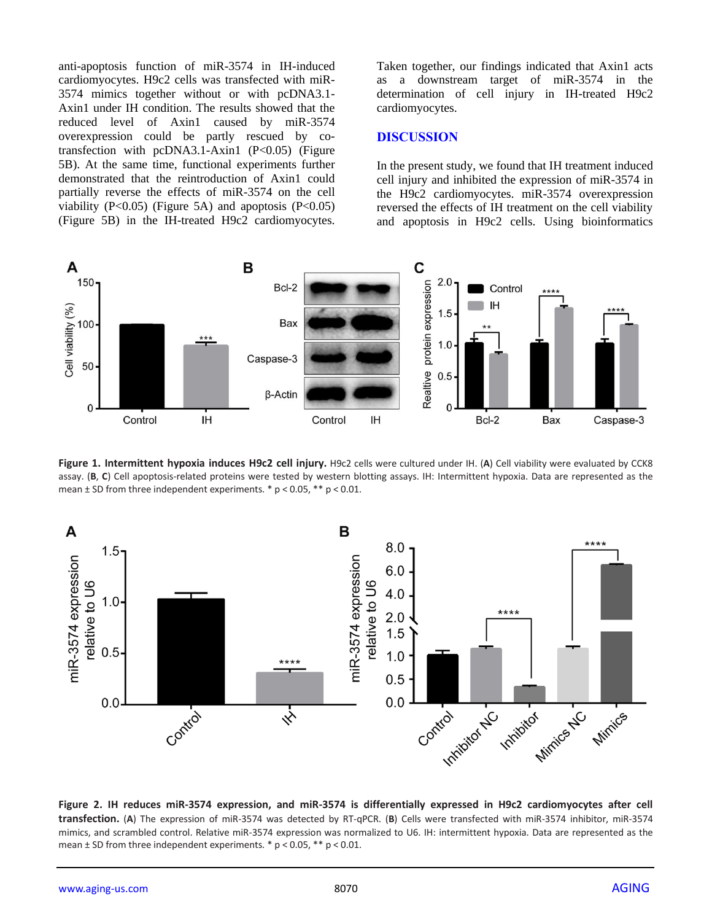anti-apoptosis function of miR-3574 in IH-induced cardiomyocytes. H9c2 cells was transfected with miR-3574 mimics together without or with pcDNA3.1- Axin1 under IH condition. The results showed that the reduced level of Axin1 caused by miR-3574 overexpression could be partly rescued by cotransfection with  $pcDNA3.1-Axin1$   $(P<0.05)$  (Figure 5B). At the same time, functional experiments further demonstrated that the reintroduction of Axin1 could partially reverse the effects of miR-3574 on the cell viability  $(P<0.05)$  (Figure 5A) and apoptosis  $(P<0.05)$ (Figure 5B) in the IH-treated H9c2 cardiomyocytes. Taken together, our findings indicated that Axin1 acts as a downstream target of miR-3574 in the determination of cell injury in IH-treated H9c2 cardiomyocytes.

## **DISCUSSION**

In the present study, we found that IH treatment induced cell injury and inhibited the expression of miR-3574 in the H9c2 cardiomyocytes. miR-3574 overexpression reversed the effects of IH treatment on the cell viability and apoptosis in H9c2 cells. Using bioinformatics



**Figure 1. Intermittent hypoxia induces H9c2 cell injury.** H9c2 cells were cultured under IH. (**A**) Cell viability were evaluated by CCK8 assay. (**B**, **C**) Cell apoptosis-related proteins were tested by western blotting assays. IH: Intermittent hypoxia. Data are represented as the mean ± SD from three independent experiments. \* p < 0.05, \*\* p < 0.01.



**Figure 2. IH reduces miR-3574 expression, and miR-3574 is differentially expressed in H9c2 cardiomyocytes after cell transfection.** (**A**) The expression of miR-3574 was detected by RT-qPCR. (**B**) Cells were transfected with miR-3574 inhibitor, miR-3574 mimics, and scrambled control. Relative miR-3574 expression was normalized to U6. IH: intermittent hypoxia. Data are represented as the mean ± SD from three independent experiments. \* p < 0.05, \*\* p < 0.01.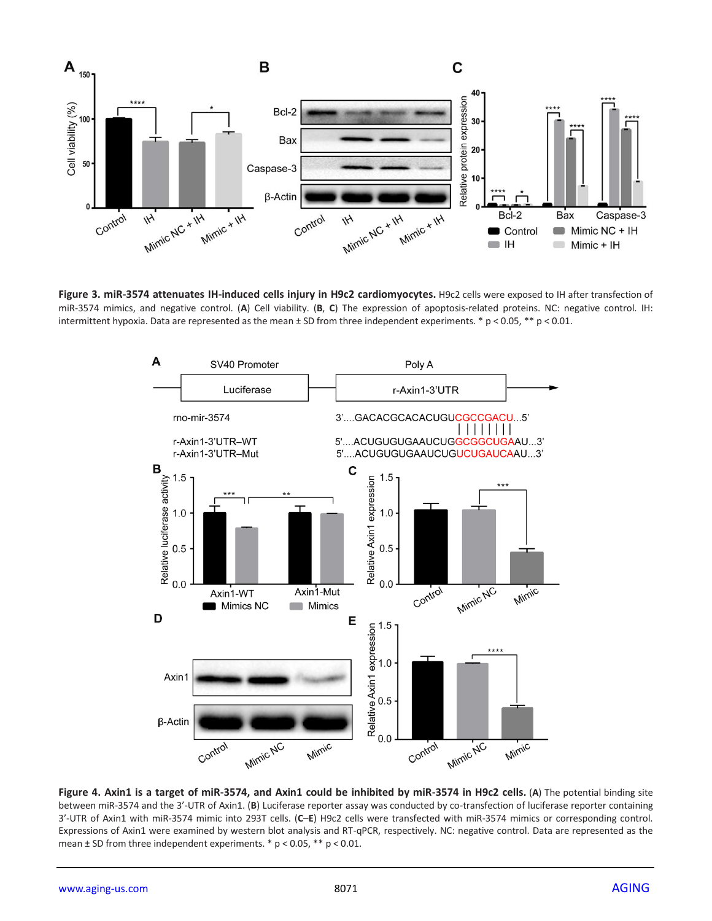

**Figure 3. miR-3574 attenuates IH-induced cells injury in H9c2 cardiomyocytes.** H9c2 cells were exposed to IH after transfection of miR-3574 mimics, and negative control. (**A**) Cell viability. (**B**, **C**) The expression of apoptosis-related proteins. NC: negative control. IH: intermittent hypoxia. Data are represented as the mean ± SD from three independent experiments. \* p < 0.05, \*\* p < 0.01.



**Figure 4. Axin1 is a target of miR-3574, and Axin1 could be inhibited by miR-3574 in H9c2 cells.** (**A**) The potential binding site between miR-3574 and the 3'-UTR of Axin1. (**B**) Luciferase reporter assay was conducted by co-transfection of luciferase reporter containing 3'-UTR of Axin1 with miR-3574 mimic into 293T cells. (**C**–**E**) H9c2 cells were transfected with miR-3574 mimics or corresponding control. Expressions of Axin1 were examined by western blot analysis and RT-qPCR, respectively. NC: negative control. Data are represented as the mean  $\pm$  SD from three independent experiments.  $*$  p < 0.05,  $**$  p < 0.01.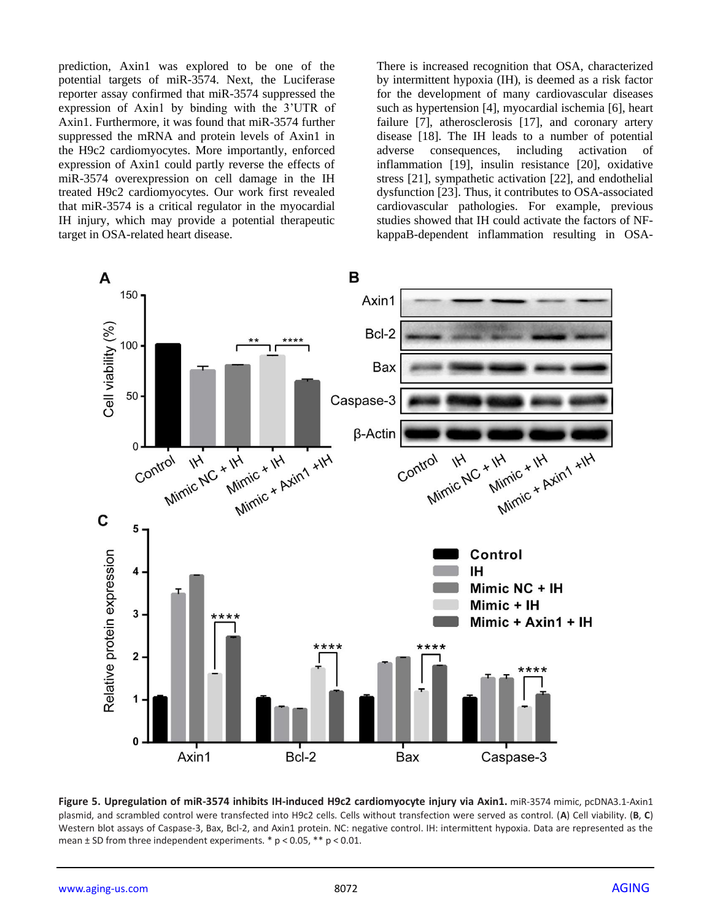prediction, Axin1 was explored to be one of the potential targets of miR-3574. Next, the Luciferase reporter assay confirmed that miR-3574 suppressed the expression of Axin1 by binding with the 3'UTR of Axin1. Furthermore, it was found that miR-3574 further suppressed the mRNA and protein levels of Axin1 in the H9c2 cardiomyocytes. More importantly, enforced expression of Axin1 could partly reverse the effects of miR-3574 overexpression on cell damage in the IH treated H9c2 cardiomyocytes. Our work first revealed that miR-3574 is a critical regulator in the myocardial IH injury, which may provide a potential therapeutic target in OSA-related heart disease.

There is increased recognition that OSA, characterized by intermittent hypoxia (IH), is deemed as a risk factor for the development of many cardiovascular diseases such as hypertension [4], myocardial ischemia [6], heart failure [7], atherosclerosis [17], and coronary artery disease [18]. The IH leads to a number of potential adverse consequences, including activation of inflammation [19], insulin resistance [20], oxidative stress [21], sympathetic activation [22], and endothelial dysfunction [23]. Thus, it contributes to OSA-associated cardiovascular pathologies. For example, previous studies showed that IH could activate the factors of NFkappaB-dependent inflammation resulting in OSA-



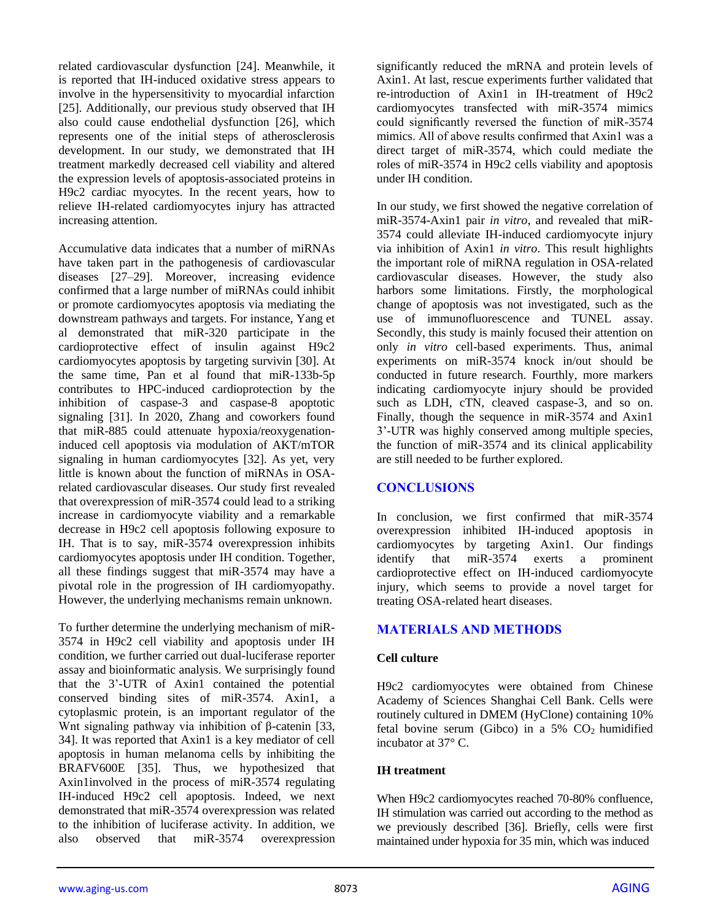related cardiovascular dysfunction [24]. Meanwhile, it is reported that IH-induced oxidative stress appears to involve in the hypersensitivity to myocardial infarction [25]. Additionally, our previous study observed that IH also could cause endothelial dysfunction [26], which represents one of the initial steps of atherosclerosis development. In our study, we demonstrated that IH treatment markedly decreased cell viability and altered the expression levels of apoptosis-associated proteins in H9c2 cardiac myocytes. In the recent years, how to relieve IH-related cardiomyocytes injury has attracted increasing attention.

Accumulative data indicates that a number of miRNAs have taken part in the pathogenesis of cardiovascular diseases [27–29]. Moreover, increasing evidence confirmed that a large number of miRNAs could inhibit or promote cardiomyocytes apoptosis via mediating the downstream pathways and targets. For instance, Yang et al demonstrated that miR-320 participate in the cardioprotective effect of insulin against H9c2 cardiomyocytes apoptosis by targeting survivin [30]. At the same time, Pan et al found that miR-133b-5p contributes to HPC-induced cardioprotection by the inhibition of caspase-3 and caspase-8 apoptotic signaling [31]. In 2020, Zhang and coworkers found that miR-885 could attenuate hypoxia/reoxygenationinduced cell apoptosis via modulation of AKT/mTOR signaling in human cardiomyocytes [32]. As yet, very little is known about the function of miRNAs in OSArelated cardiovascular diseases. Our study first revealed that overexpression of miR-3574 could lead to a striking increase in cardiomyocyte viability and a remarkable decrease in H9c2 cell apoptosis following exposure to IH. That is to say, miR-3574 overexpression inhibits cardiomyocytes apoptosis under IH condition. Together, all these findings suggest that miR-3574 may have a pivotal role in the progression of IH cardiomyopathy. However, the underlying mechanisms remain unknown.

To further determine the underlying mechanism of miR-3574 in H9c2 cell viability and apoptosis under IH condition, we further carried out dual-luciferase reporter assay and bioinformatic analysis. We surprisingly found that the 3'-UTR of Axin1 contained the potential conserved binding sites of miR-3574. Axin1, a cytoplasmic protein, is an important regulator of the Wnt signaling pathway via inhibition of β-catenin [33, 34]. It was reported that Axin1 is a key mediator of cell apoptosis in human melanoma cells by inhibiting the BRAFV600E [35]. Thus, we hypothesized that Axin1involved in the process of miR-3574 regulating IH-induced H9c2 cell apoptosis. Indeed, we next demonstrated that miR-3574 overexpression was related to the inhibition of luciferase activity. In addition, we also observed that miR-3574 overexpression

significantly reduced the mRNA and protein levels of Axin1. At last, rescue experiments further validated that re-introduction of Axin1 in IH-treatment of H9c2 cardiomyocytes transfected with miR-3574 mimics could significantly reversed the function of miR-3574 mimics. All of above results confirmed that Axin1 was a direct target of miR-3574, which could mediate the roles of miR-3574 in H9c2 cells viability and apoptosis under IH condition.

In our study, we first showed the negative correlation of miR-3574-Axin1 pair *in vitro*, and revealed that miR-3574 could alleviate IH-induced cardiomyocyte injury via inhibition of Axin1 *in vitro*. This result highlights the important role of miRNA regulation in OSA-related cardiovascular diseases. However, the study also harbors some limitations. Firstly, the morphological change of apoptosis was not investigated, such as the use of immunofluorescence and TUNEL assay. Secondly, this study is mainly focused their attention on only *in vitro* cell-based experiments. Thus, animal experiments on miR-3574 knock in/out should be conducted in future research. Fourthly, more markers indicating cardiomyocyte injury should be provided such as LDH, cTN, cleaved caspase-3, and so on. Finally, though the sequence in miR-3574 and Axin1 3'-UTR was highly conserved among multiple species, the function of miR-3574 and its clinical applicability are still needed to be further explored.

## **CONCLUSIONS**

In conclusion, we first confirmed that miR-3574 overexpression inhibited IH-induced apoptosis in cardiomyocytes by targeting Axin1. Our findings identify that miR-3574 exerts a prominent cardioprotective effect on IH-induced cardiomyocyte injury, which seems to provide a novel target for treating OSA-related heart diseases.

## **MATERIALS AND METHODS**

## **Cell culture**

H9c2 cardiomyocytes were obtained from Chinese Academy of Sciences Shanghai Cell Bank. Cells were routinely cultured in DMEM (HyClone) containing 10% fetal bovine serum (Gibco) in a  $5\%$  CO<sub>2</sub> humidified incubator at 37° C.

## **IH treatment**

When H9c2 cardiomyocytes reached 70-80% confluence, IH stimulation was carried out according to the method as we previously described [36]. Briefly, cells were first maintained under hypoxia for 35 min, which was induced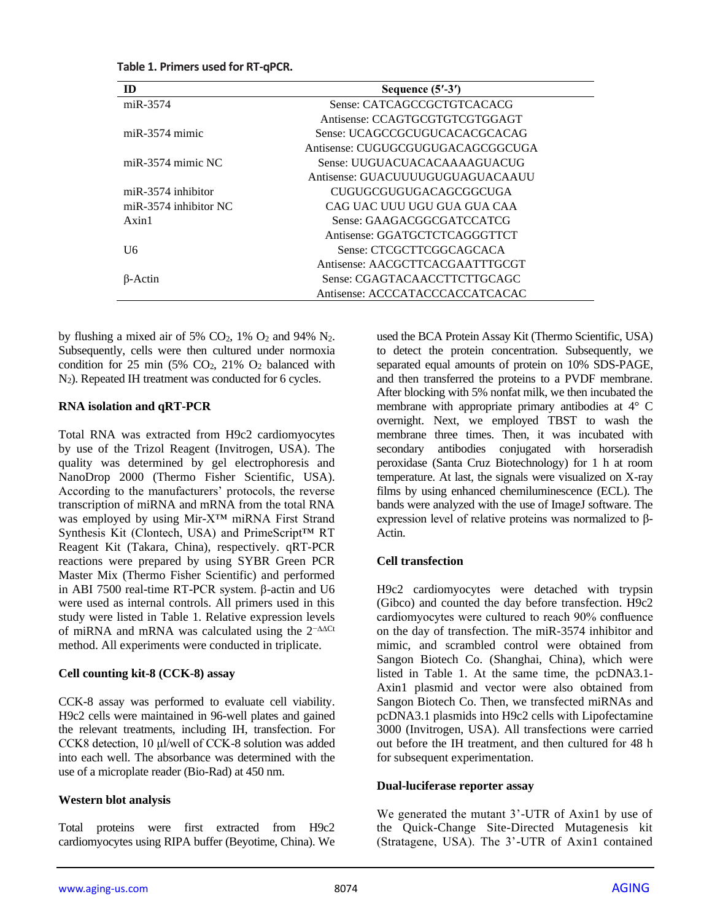| m                       | Sequence $(5'$ -3')               |
|-------------------------|-----------------------------------|
| $miR-3574$              | Sense: CATCAGCCGCTGTCACACG        |
|                         | Antisense: CCAGTGCGTGTCGTGGAGT    |
| $miR-3574$ mimic        | Sense: UCAGCCGCUGUCACACGCACAG     |
|                         | Antisense: CUGUGCGUGUGACAGCGGCUGA |
| miR-3574 mimic $NC$     | Sense: UUGUACUACACAAAAGUACUG      |
|                         | Antisense: GUACUUUUUGUGUAGUACAAUU |
| $miR-3574$ inhibitor    | CUGUGCGUGUGACAGCGGCUGA            |
| $miR-3574$ inhibitor NC | CAG UAC UUU UGU GUA GUA CAA       |
| $A$ xin 1               | Sense: GAAGACGGCGATCCATCG         |
|                         | Antisense: GGATGCTCTCAGGGTTCT     |
| U6                      | Sense: CTCGCTTCGGCAGCACA          |
|                         | Antisense: AACGCTTCACGAATTTGCGT   |
| B-Actin                 | Sense: CGAGTACAACCTTCTTGCAGC      |
|                         | Antisense: ACCCATACCCACCATCACAC   |

**Table 1. Primers used for RT-qPCR.**

by flushing a mixed air of 5%  $CO<sub>2</sub>$ , 1%  $O<sub>2</sub>$  and 94% N<sub>2</sub>. Subsequently, cells were then cultured under normoxia condition for 25 min (5%  $CO<sub>2</sub>$ , 21%  $O<sub>2</sub>$  balanced with N2). Repeated IH treatment was conducted for 6 cycles.

#### **RNA isolation and qRT-PCR**

Total RNA was extracted from H9c2 cardiomyocytes by use of the Trizol Reagent (Invitrogen, USA). The quality was determined by gel electrophoresis and NanoDrop 2000 (Thermo Fisher Scientific, USA). According to the manufacturers' protocols, the reverse transcription of miRNA and mRNA from the total RNA was employed by using Mir-X™ miRNA First Strand Synthesis Kit (Clontech, USA) and PrimeScript™ RT Reagent Kit (Takara, China), respectively. qRT-PCR reactions were prepared by using SYBR Green PCR Master Mix (Thermo Fisher Scientific) and performed in ABI 7500 real-time RT-PCR system. β-actin and U6 were used as internal controls. All primers used in this study were listed in Table 1. Relative expression levels of miRNA and mRNA was calculated using the 2−∆∆Ct method. All experiments were conducted in triplicate.

## **Cell counting kit-8 (CCK-8) assay**

CCK-8 assay was performed to evaluate cell viability. H9c2 cells were maintained in 96-well plates and gained the relevant treatments, including IH, transfection. For CCK8 detection, 10 μl/well of CCK-8 solution was added into each well. The absorbance was determined with the use of a microplate reader (Bio-Rad) at 450 nm.

## **Western blot analysis**

Total proteins were first extracted from H9c2 cardiomyocytes using RIPA buffer (Beyotime, China). We used the BCA Protein Assay Kit (Thermo Scientific, USA) to detect the protein concentration. Subsequently, we separated equal amounts of protein on 10% SDS-PAGE, and then transferred the proteins to a PVDF membrane. After blocking with 5% nonfat milk, we then incubated the membrane with appropriate primary antibodies at 4° C overnight. Next, we employed TBST to wash the membrane three times. Then, it was incubated with secondary antibodies conjugated with horseradish peroxidase (Santa Cruz Biotechnology) for 1 h at room temperature. At last, the signals were visualized on X-ray films by using enhanced chemiluminescence (ECL). The bands were analyzed with the use of ImageJ software. The expression level of relative proteins was normalized to β-Actin.

## **Cell transfection**

H9c2 cardiomyocytes were detached with trypsin (Gibco) and counted the day before transfection. H9c2 cardiomyocytes were cultured to reach 90% confluence on the day of transfection. The miR-3574 inhibitor and mimic, and scrambled control were obtained from Sangon Biotech Co. (Shanghai, China), which were listed in Table 1. At the same time, the pcDNA3.1- Axin1 plasmid and vector were also obtained from Sangon Biotech Co. Then, we transfected miRNAs and pcDNA3.1 plasmids into H9c2 cells with Lipofectamine 3000 (Invitrogen, USA). All transfections were carried out before the IH treatment, and then cultured for 48 h for subsequent experimentation.

#### **Dual-luciferase reporter assay**

We generated the mutant 3'-UTR of Axin1 by use of the Quick-Change Site-Directed Mutagenesis kit (Stratagene, USA). The 3'-UTR of Axin1 contained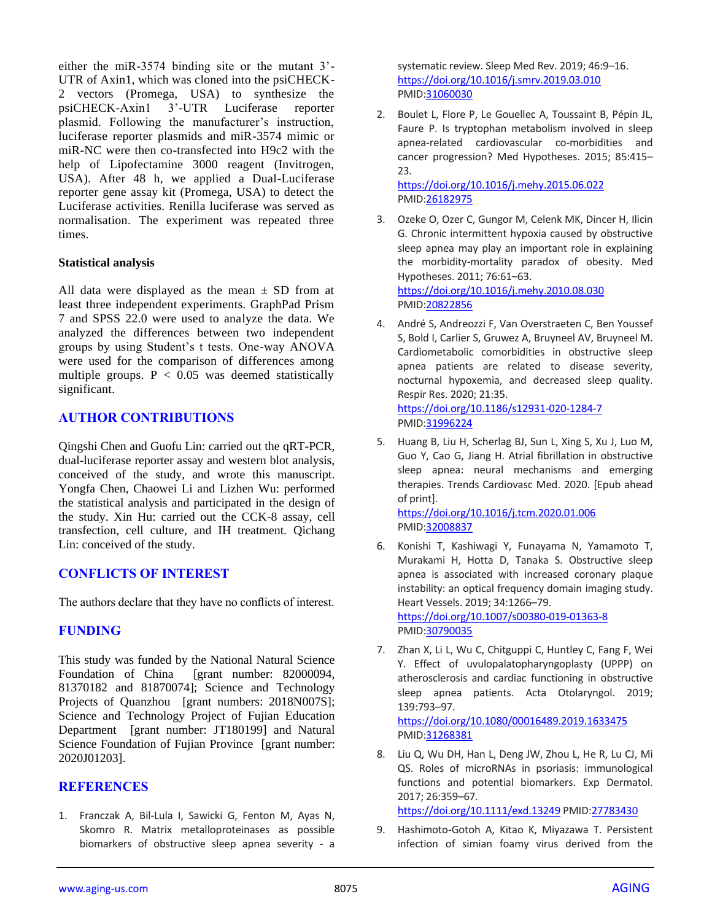either the miR-3574 binding site or the mutant 3'- UTR of Axin1, which was cloned into the psiCHECK-2 vectors (Promega, USA) to synthesize the psiCHECK-Axin1 3'-UTR Luciferase reporter plasmid. Following the manufacturer's instruction, luciferase reporter plasmids and miR-3574 mimic or miR-NC were then co-transfected into H9c2 with the help of Lipofectamine 3000 reagent (Invitrogen, USA). After 48 h, we applied a Dual-Luciferase reporter gene assay kit (Promega, USA) to detect the Luciferase activities. Renilla luciferase was served as normalisation. The experiment was repeated three times.

## **Statistical analysis**

All data were displayed as the mean  $\pm$  SD from at least three independent experiments. GraphPad Prism 7 and SPSS 22.0 were used to analyze the data. We analyzed the differences between two independent groups by using Student's t tests. One-way ANOVA were used for the comparison of differences among multiple groups.  $P < 0.05$  was deemed statistically significant.

## **AUTHOR CONTRIBUTIONS**

Qingshi Chen and Guofu Lin: carried out the qRT-PCR, dual-luciferase reporter assay and western blot analysis, conceived of the study, and wrote this manuscript. Yongfa Chen, Chaowei Li and Lizhen Wu: performed the statistical analysis and participated in the design of the study. Xin Hu: carried out the CCK-8 assay, cell transfection, cell culture, and IH treatment. Qichang Lin: conceived of the study.

## **CONFLICTS OF INTEREST**

The authors declare that they have no conflicts of interest.

## **FUNDING**

This study was funded by the National Natural Science Foundation of China [grant number: 82000094, 81370182 and 81870074]; Science and Technology Projects of Quanzhou [grant numbers: 2018N007S]; Science and Technology Project of Fujian Education Department [grant number: JT180199] and Natural Science Foundation of Fujian Province [grant number: 2020J01203].

## **REFERENCES**

1. Franczak A, Bil-Lula I, Sawicki G, Fenton M, Ayas N, Skomro R. Matrix metalloproteinases as possible biomarkers of obstructive sleep apnea severity - a

systematic review. Sleep Med Rev. 2019; 46:9–16. <https://doi.org/10.1016/j.smrv.2019.03.010> PMI[D:31060030](https://pubmed.ncbi.nlm.nih.gov/31060030)

2. Boulet L, Flore P, Le Gouellec A, Toussaint B, Pépin JL, Faure P. Is tryptophan metabolism involved in sleep apnea-related cardiovascular co-morbidities and cancer progression? Med Hypotheses. 2015; 85:415– 23.

<https://doi.org/10.1016/j.mehy.2015.06.022> PMI[D:26182975](https://pubmed.ncbi.nlm.nih.gov/26182975)

- 3. Ozeke O, Ozer C, Gungor M, Celenk MK, Dincer H, Ilicin G. Chronic intermittent hypoxia caused by obstructive sleep apnea may play an important role in explaining the morbidity-mortality paradox of obesity. Med Hypotheses. 2011; 76:61–63. <https://doi.org/10.1016/j.mehy.2010.08.030> PMI[D:20822856](https://pubmed.ncbi.nlm.nih.gov/20822856)
- 4. André S, Andreozzi F, Van Overstraeten C, Ben Youssef S, Bold I, Carlier S, Gruwez A, Bruyneel AV, Bruyneel M. Cardiometabolic comorbidities in obstructive sleep apnea patients are related to disease severity, nocturnal hypoxemia, and decreased sleep quality. Respir Res. 2020; 21:35. <https://doi.org/10.1186/s12931-020-1284-7> PMI[D:31996224](https://pubmed.ncbi.nlm.nih.gov/31996224)
- 5. Huang B, Liu H, Scherlag BJ, Sun L, Xing S, Xu J, Luo M, Guo Y, Cao G, Jiang H. Atrial fibrillation in obstructive sleep apnea: neural mechanisms and emerging therapies. Trends Cardiovasc Med. 2020. [Epub ahead of print]. <https://doi.org/10.1016/j.tcm.2020.01.006> PMI[D:32008837](https://pubmed.ncbi.nlm.nih.gov/32008837)
- 6. Konishi T, Kashiwagi Y, Funayama N, Yamamoto T, Murakami H, Hotta D, Tanaka S. Obstructive sleep apnea is associated with increased coronary plaque instability: an optical frequency domain imaging study. Heart Vessels. 2019; 34:1266–79. <https://doi.org/10.1007/s00380-019-01363-8> PMI[D:30790035](https://pubmed.ncbi.nlm.nih.gov/30790035)
- 7. Zhan X, Li L, Wu C, Chitguppi C, Huntley C, Fang F, Wei Y. Effect of uvulopalatopharyngoplasty (UPPP) on atherosclerosis and cardiac functioning in obstructive sleep apnea patients. Acta Otolaryngol. 2019; 139:793–97. <https://doi.org/10.1080/00016489.2019.1633475> PMI[D:31268381](https://pubmed.ncbi.nlm.nih.gov/31268381)
- 8. Liu Q, Wu DH, Han L, Deng JW, Zhou L, He R, Lu CJ, Mi QS. Roles of microRNAs in psoriasis: immunological functions and potential biomarkers. Exp Dermatol. 2017; 26:359–67.

<https://doi.org/10.1111/exd.13249> PMID[:27783430](https://pubmed.ncbi.nlm.nih.gov/27783430)

9. Hashimoto-Gotoh A, Kitao K, Miyazawa T. Persistent infection of simian foamy virus derived from the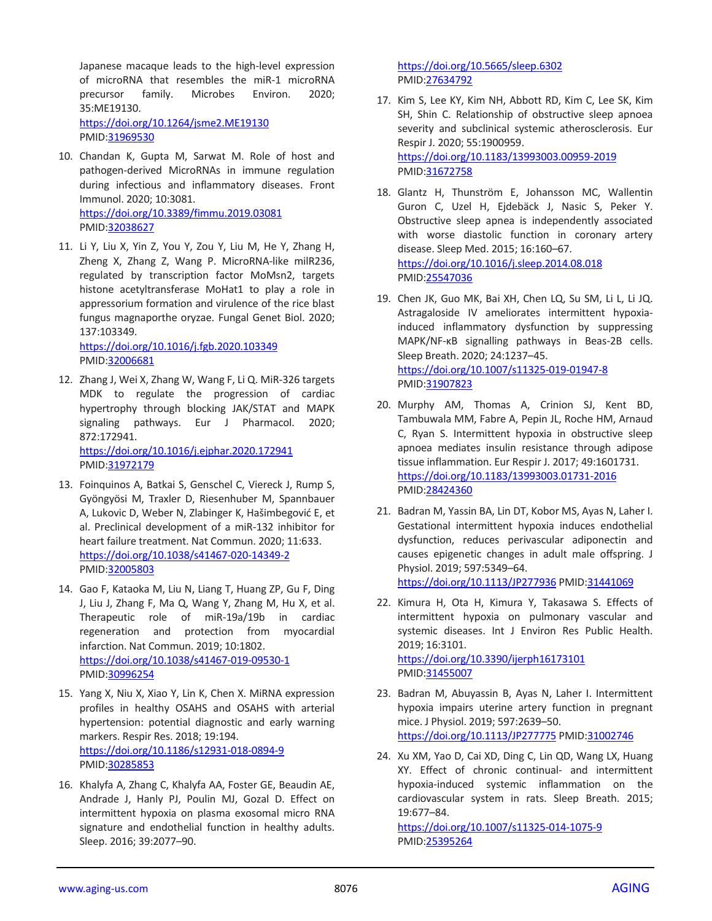Japanese macaque leads to the high-level expression of microRNA that resembles the miR-1 microRNA precursor family. Microbes Environ. 2020; 35:ME19130. <https://doi.org/10.1264/jsme2.ME19130>

PMID[:31969530](https://pubmed.ncbi.nlm.nih.gov/31969530)

- 10. Chandan K, Gupta M, Sarwat M. Role of host and pathogen-derived MicroRNAs in immune regulation during infectious and inflammatory diseases. Front Immunol. 2020; 10:3081. <https://doi.org/10.3389/fimmu.2019.03081> PMID[:32038627](https://pubmed.ncbi.nlm.nih.gov/32038627)
- 11. Li Y, Liu X, Yin Z, You Y, Zou Y, Liu M, He Y, Zhang H, Zheng X, Zhang Z, Wang P. MicroRNA-like milR236, regulated by transcription factor MoMsn2, targets histone acetyltransferase MoHat1 to play a role in appressorium formation and virulence of the rice blast fungus magnaporthe oryzae. Fungal Genet Biol. 2020; 137:103349.

<https://doi.org/10.1016/j.fgb.2020.103349> PMID[:32006681](https://pubmed.ncbi.nlm.nih.gov/32006681)

12. Zhang J, Wei X, Zhang W, Wang F, Li Q. MiR-326 targets MDK to regulate the progression of cardiac hypertrophy through blocking JAK/STAT and MAPK signaling pathways. Eur J Pharmacol. 2020; 872:172941. <https://doi.org/10.1016/j.ejphar.2020.172941>

PMID[:31972179](https://pubmed.ncbi.nlm.nih.gov/31972179)

- 13. Foinquinos A, Batkai S, Genschel C, Viereck J, Rump S, Gyöngyösi M, Traxler D, Riesenhuber M, Spannbauer A, Lukovic D, Weber N, Zlabinger K, Hašimbegović E, et al. Preclinical development of a miR-132 inhibitor for heart failure treatment. Nat Commun. 2020; 11:633. <https://doi.org/10.1038/s41467-020-14349-2> PMID[:32005803](https://pubmed.ncbi.nlm.nih.gov/32005803)
- 14. Gao F, Kataoka M, Liu N, Liang T, Huang ZP, Gu F, Ding J, Liu J, Zhang F, Ma Q, Wang Y, Zhang M, Hu X, et al. Therapeutic role of miR-19a/19b in cardiac regeneration and protection from myocardial infarction. Nat Commun. 2019; 10:1802. <https://doi.org/10.1038/s41467-019-09530-1> PMID[:30996254](https://pubmed.ncbi.nlm.nih.gov/30996254)
- 15. Yang X, Niu X, Xiao Y, Lin K, Chen X. MiRNA expression profiles in healthy OSAHS and OSAHS with arterial hypertension: potential diagnostic and early warning markers. Respir Res. 2018; 19:194. <https://doi.org/10.1186/s12931-018-0894-9> PMID[:30285853](https://pubmed.ncbi.nlm.nih.gov/30285853)
- 16. Khalyfa A, Zhang C, Khalyfa AA, Foster GE, Beaudin AE, Andrade J, Hanly PJ, Poulin MJ, Gozal D. Effect on intermittent hypoxia on plasma exosomal micro RNA signature and endothelial function in healthy adults. Sleep. 2016; 39:2077–90.

<https://doi.org/10.5665/sleep.6302> PMI[D:27634792](https://pubmed.ncbi.nlm.nih.gov/27634792)

- 17. Kim S, Lee KY, Kim NH, Abbott RD, Kim C, Lee SK, Kim SH, Shin C. Relationship of obstructive sleep apnoea severity and subclinical systemic atherosclerosis. Eur Respir J. 2020; 55:1900959. <https://doi.org/10.1183/13993003.00959-2019> PMI[D:31672758](https://pubmed.ncbi.nlm.nih.gov/31672758)
- 18. Glantz H, Thunström E, Johansson MC, Wallentin Guron C, Uzel H, Ejdebäck J, Nasic S, Peker Y. Obstructive sleep apnea is independently associated with worse diastolic function in coronary artery disease. Sleep Med. 2015; 16:160–67. <https://doi.org/10.1016/j.sleep.2014.08.018> PMI[D:25547036](https://pubmed.ncbi.nlm.nih.gov/25547036)
- 19. Chen JK, Guo MK, Bai XH, Chen LQ, Su SM, Li L, Li JQ. Astragaloside IV ameliorates intermittent hypoxiainduced inflammatory dysfunction by suppressing MAPK/NF-κB signalling pathways in Beas-2B cells. Sleep Breath. 2020; 24:1237–45. <https://doi.org/10.1007/s11325-019-01947-8> PMI[D:31907823](https://pubmed.ncbi.nlm.nih.gov/31907823)
- 20. Murphy AM, Thomas A, Crinion SJ, Kent BD, Tambuwala MM, Fabre A, Pepin JL, Roche HM, Arnaud C, Ryan S. Intermittent hypoxia in obstructive sleep apnoea mediates insulin resistance through adipose tissue inflammation. Eur Respir J. 2017; 49:1601731. <https://doi.org/10.1183/13993003.01731-2016> PMI[D:28424360](https://pubmed.ncbi.nlm.nih.gov/28424360)
- 21. Badran M, Yassin BA, Lin DT, Kobor MS, Ayas N, Laher I. Gestational intermittent hypoxia induces endothelial dysfunction, reduces perivascular adiponectin and causes epigenetic changes in adult male offspring. J Physiol. 2019; 597:5349–64. <https://doi.org/10.1113/JP277936> PMID[:31441069](https://pubmed.ncbi.nlm.nih.gov/31441069)
- 22. Kimura H, Ota H, Kimura Y, Takasawa S. Effects of intermittent hypoxia on pulmonary vascular and systemic diseases. Int J Environ Res Public Health. 2019; 16:3101. <https://doi.org/10.3390/ijerph16173101> PMI[D:31455007](https://pubmed.ncbi.nlm.nih.gov/31455007)
- 23. Badran M, Abuyassin B, Ayas N, Laher I. Intermittent hypoxia impairs uterine artery function in pregnant mice. J Physiol. 2019; 597:2639–50. <https://doi.org/10.1113/JP277775> PMID[:31002746](https://pubmed.ncbi.nlm.nih.gov/31002746)
- 24. Xu XM, Yao D, Cai XD, Ding C, Lin QD, Wang LX, Huang XY. Effect of chronic continual- and intermittent hypoxia-induced systemic inflammation on the cardiovascular system in rats. Sleep Breath. 2015; 19:677–84.

<https://doi.org/10.1007/s11325-014-1075-9> PMI[D:25395264](https://pubmed.ncbi.nlm.nih.gov/25395264)